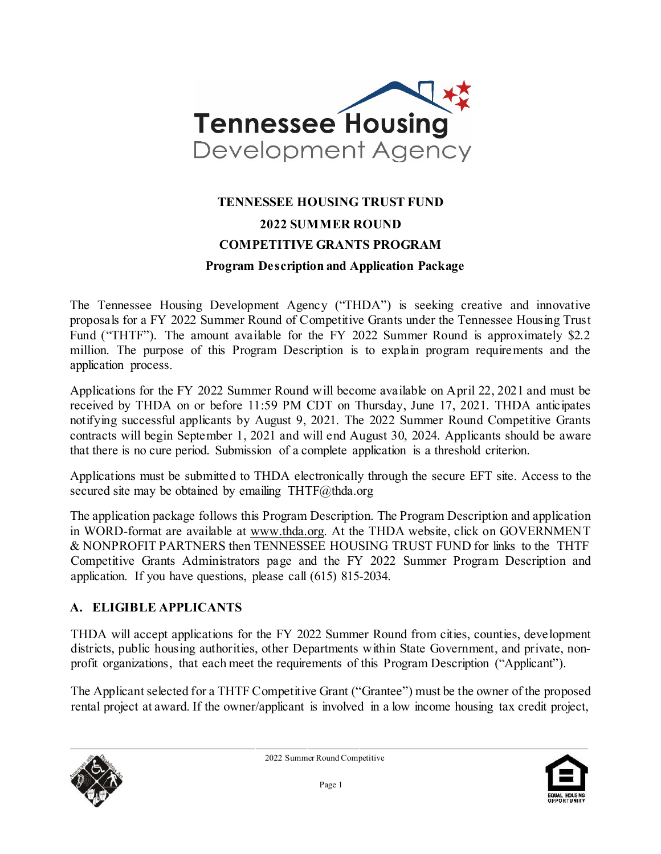

#### **TENNESSEE HOUSING TRUST FUND**

#### **2022 SUMMER ROUND**

#### **COMPETITIVE GRANTS PROGRAM**

#### **Program Description and Application Package**

The Tennessee Housing Development Agency ("THDA") is seeking creative and innovative proposals for a FY 2022 Summer Round of Competitive Grants under the Tennessee Housing Trust Fund ("THTF"). The amount available for the FY 2022 Summer Round is approximately \$2.2 million. The purpose of this Program Description is to explain program requirements and the application process.

Applications for the FY 2022 Summer Round will become available on April 22, 2021 and must be received by THDA on or before 11:59 PM CDT on Thursday, June 17, 2021. THDA anticipates notifying successful applicants by August 9, 2021. The 2022 Summer Round Competitive Grants contracts will begin September 1, 2021 and will end August 30, 2024. Applicants should be aware that there is no cure period. Submission of a complete application is a threshold criterion.

Applications must be submitted to THDA electronically through the secure EFT site. Access to the secured site may be obtained by emailing  $THTF@thda.org$ 

The application package follows this Program Description. The Program Description and application in WORD-format are available at [www.thda.org. A](http://www.thda.org/)t the THDA website, click on GOVERNMENT & NONPROFIT PARTNERS then TENNESSEE HOUSING TRUST FUND for links to the THTF Competitive Grants Administrators page and the FY 2022 Summer Program Description and application. If you have questions, please call (615) 815-2034.

#### **A. ELIGIBLE APPLICANTS**

THDA will accept applications for the FY 2022 Summer Round from cities, counties, development districts, public housing authorities, other Departments within State Government, and private, nonprofit organizations, that each meet the requirements of this Program Description ("Applicant").

The Applicant selected for a THTF Competitive Grant ("Grantee") must be the owner of the proposed rental project at award. If the owner/applicant is involved in a low income housing tax credit project,



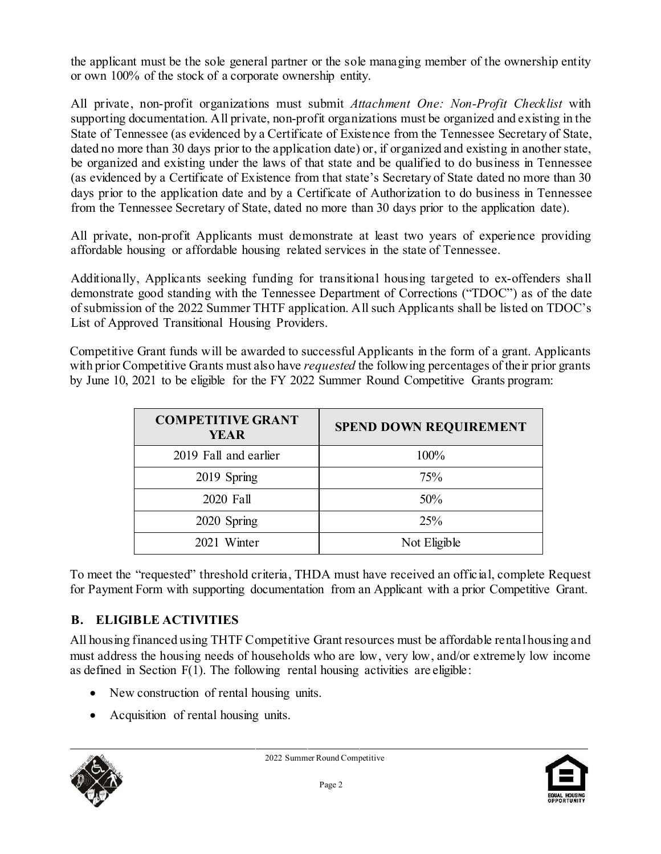the applicant must be the sole general partner or the sole managing member of the ownership entity or own 100% of the stock of a corporate ownership entity.

All private, non-profit organizations must submit *Attachment One: Non-Profit Checklist* with supporting documentation. All private, non-profit organizations must be organized and existing in the State of Tennessee (as evidenced by a Certificate of Existence from the Tennessee Secretary of State, dated no more than 30 days prior to the application date) or, if organized and existing in another state, be organized and existing under the laws of that state and be qualified to do business in Tennessee (as evidenced by a Certificate of Existence from that state's Secretary of State dated no more than 30 days prior to the application date and by a Certificate of Authorization to do business in Tennessee from the Tennessee Secretary of State, dated no more than 30 days prior to the application date).

All private, non-profit Applicants must demonstrate at least two years of experience providing affordable housing or affordable housing related services in the state of Tennessee.

Additionally, Applicants seeking funding for transitional housing targeted to ex-offenders shall demonstrate good standing with the Tennessee Department of Corrections ("TDOC") as of the date of submission of the 2022 Summer THTF application. Allsuch Applicants shall be listed on TDOC's List of Approved Transitional Housing Providers.

Competitive Grant funds will be awarded to successful Applicants in the form of a grant. Applicants with prior Competitive Grants must also have *requested* the following percentages of their prior grants by June 10, 2021 to be eligible for the FY 2022 Summer Round Competitive Grants program:

| <b>COMPETITIVE GRANT</b><br><b>YEAR</b> | <b>SPEND DOWN REQUIREMENT</b> |
|-----------------------------------------|-------------------------------|
| 2019 Fall and earlier                   | 100%                          |
| 2019 Spring                             | 75%                           |
| 2020 Fall                               | 50%                           |
| 2020 Spring                             | 25%                           |
| 2021 Winter                             | Not Eligible                  |

To meet the "requested" threshold criteria, THDA must have received an official, complete Request for Payment Form with supporting documentation from an Applicant with a prior Competitive Grant.

# **B. ELIGIBLE ACTIVITIES**

All housing financed using THTF Competitive Grant resources must be affordable rentalhousing and must address the housing needs of households who are low, very low, and/or extremely low income as defined in Section F(1). The following rental housing activities are eligible:

- New construction of rental housing units.
- Acquisition of rental housing units.



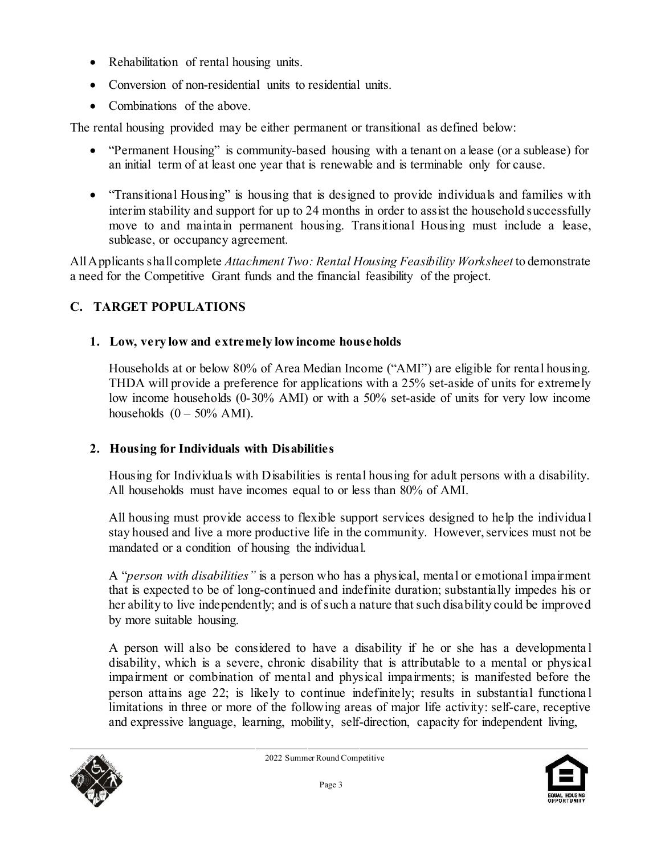- Rehabilitation of rental housing units.
- Conversion of non-residential units to residential units.
- Combinations of the above.

The rental housing provided may be either permanent or transitional as defined below:

- "Permanent Housing" is community-based housing with a tenant on a lease (or a sublease) for an initial term of at least one year that is renewable and is terminable only for cause.
- "Transitional Housing" is housing that is designed to provide individuals and families with interim stability and support for up to 24 months in order to assist the household successfully move to and maintain permanent housing. Transitional Housing must include a lease, sublease, or occupancy agreement.

AllApplicants shall complete *Attachment Two: Rental Housing Feasibility Worksheet* to demonstrate a need for the Competitive Grant funds and the financial feasibility of the project.

# **C. TARGET POPULATIONS**

## **1. Low, very low and extremely low income households**

Households at or below 80% of Area Median Income ("AMI") are eligible for rental housing. THDA will provide a preference for applications with a 25% set-aside of units for extremely low income households (0-30% AMI) or with a 50% set-aside of units for very low income households  $(0 - 50\% \text{ AMI}).$ 

## **2. Housing for Individuals with Disabilities**

Housing for Individuals with Disabilities is rental housing for adult persons with a disability. All households must have incomes equal to or less than 80% of AMI.

All housing must provide access to flexible support services designed to help the individua l stay housed and live a more productive life in the community. However,services must not be mandated or a condition of housing the individual.

A "*person with disabilities"* is a person who has a physical, mental or emotional impairment that is expected to be of long-continued and indefinite duration; substantially impedes his or her ability to live independently; and is of such a nature that such disability could be improved by more suitable housing.

A person will also be considered to have a disability if he or she has a developmenta l disability, which is a severe, chronic disability that is attributable to a mental or physical impairment or combination of mental and physical impairments; is manifested before the person attains age 22; is likely to continue indefinitely; results in substantial functiona l limitations in three or more of the following areas of major life activity: self-care, receptive and expressive language, learning, mobility, self-direction, capacity for independent living,



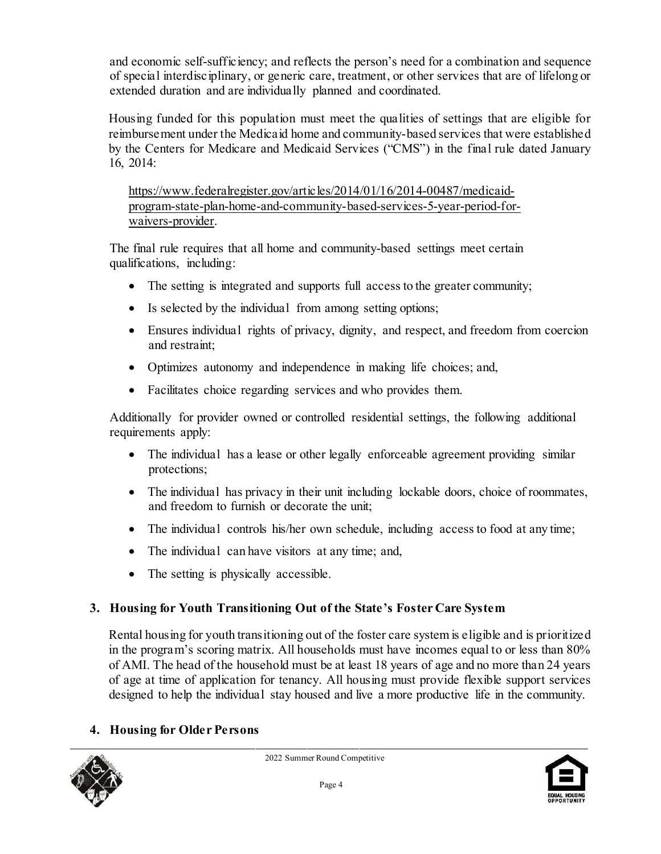and economic self-sufficiency; and reflects the person's need for a combination and sequence of special interdisciplinary, or generic care, treatment, or other services that are of lifelong or extended duration and are individually planned and coordinated.

Housing funded for this population must meet the qualities of settings that are eligible for reimbursement under the Medicaid home and community-based services that were established by the Centers for Medicare and Medicaid Services ("CMS") in the final rule dated January 16, 2014:

[https://www.federalregister.gov/articles/2014/01/16/2014-00487/medicaid](https://www.federalregister.gov/articles/2014/01/16/2014-00487/medicaid-program-state-plan-home-and-community-based-services-5-year-period-for-waivers-provider)[program-state-plan-home-and-community-based-services-5-year-period-for](https://www.federalregister.gov/articles/2014/01/16/2014-00487/medicaid-program-state-plan-home-and-community-based-services-5-year-period-for-waivers-provider)[waivers-provider.](https://www.federalregister.gov/articles/2014/01/16/2014-00487/medicaid-program-state-plan-home-and-community-based-services-5-year-period-for-waivers-provider)

The final rule requires that all home and community-based settings meet certain qualifications, including:

- The setting is integrated and supports full access to the greater community;
- Is selected by the individual from among setting options;
- Ensures individual rights of privacy, dignity, and respect, and freedom from coercion and restraint;
- Optimizes autonomy and independence in making life choices; and,
- Facilitates choice regarding services and who provides them.

Additionally for provider owned or controlled residential settings, the following additional requirements apply:

- The individual has a lease or other legally enforceable agreement providing similar protections;
- The individual has privacy in their unit including lockable doors, choice of roommates, and freedom to furnish or decorate the unit;
- The individual controls his/her own schedule, including access to food at any time;
- The individual can have visitors at any time; and,
- The setting is physically accessible.

# **3. Housing for Youth Transitioning Out of the State's Foster Care System**

Rental housing for youth transitioning out of the foster care systemis eligible and is prioritized in the program's scoring matrix. All households must have incomes equal to or less than 80% of AMI. The head of the household must be at least 18 years of age and no more than 24 years of age at time of application for tenancy. All housing must provide flexible support services designed to help the individual stay housed and live a more productive life in the community.

# **4. Housing for Older Persons**



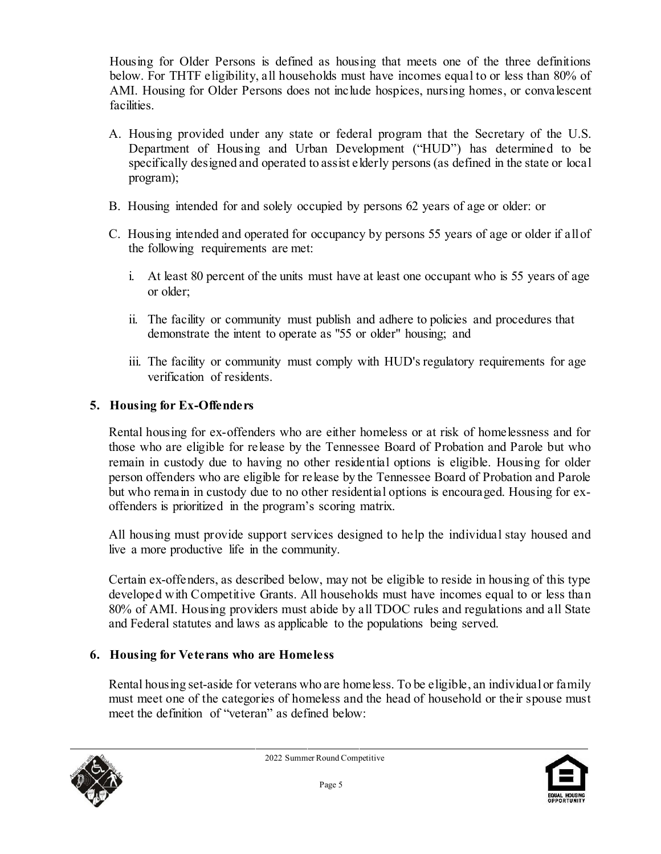Housing for Older Persons is defined as housing that meets one of the three definitions below. For THTF eligibility, all households must have incomes equal to or less than 80% of AMI. Housing for Older Persons does not include hospices, nursing homes, or convalescent facilities.

- A. Housing provided under any state or federal program that the Secretary of the U.S. Department of Housing and Urban Development ("HUD") has determined to be specifically designed and operated to assist elderly persons (as defined in the state or local program);
- B. Housing intended for and solely occupied by persons 62 years of age or older: or
- C. Housing intended and operated for occupancy by persons 55 years of age or older if allof the following requirements are met:
	- i. At least 80 percent of the units must have at least one occupant who is 55 years of age or older;
	- ii. The facility or community must publish and adhere to policies and procedures that demonstrate the intent to operate as "55 or older" housing; and
	- iii. The facility or community must comply with HUD's regulatory requirements for age verification of residents.

## **5. Housing for Ex-Offenders**

Rental housing for ex-offenders who are either homeless or at risk of homelessness and for those who are eligible for release by the Tennessee Board of Probation and Parole but who remain in custody due to having no other residential options is eligible. Housing for older person offenders who are eligible for release by the Tennessee Board of Probation and Parole but who remain in custody due to no other residential options is encouraged. Housing for exoffenders is prioritized in the program's scoring matrix.

All housing must provide support services designed to help the individual stay housed and live a more productive life in the community.

Certain ex-offenders, as described below, may not be eligible to reside in housing of this type developed with Competitive Grants. All households must have incomes equal to or less than 80% of AMI. Housing providers must abide by all TDOC rules and regulations and all State and Federal statutes and laws as applicable to the populations being served.

## **6. Housing for Veterans who are Homeless**

Rental housing set-aside for veterans who are homeless. To be eligible, an individualor family must meet one of the categories of homeless and the head of household or their spouse must meet the definition of "veteran" as defined below:



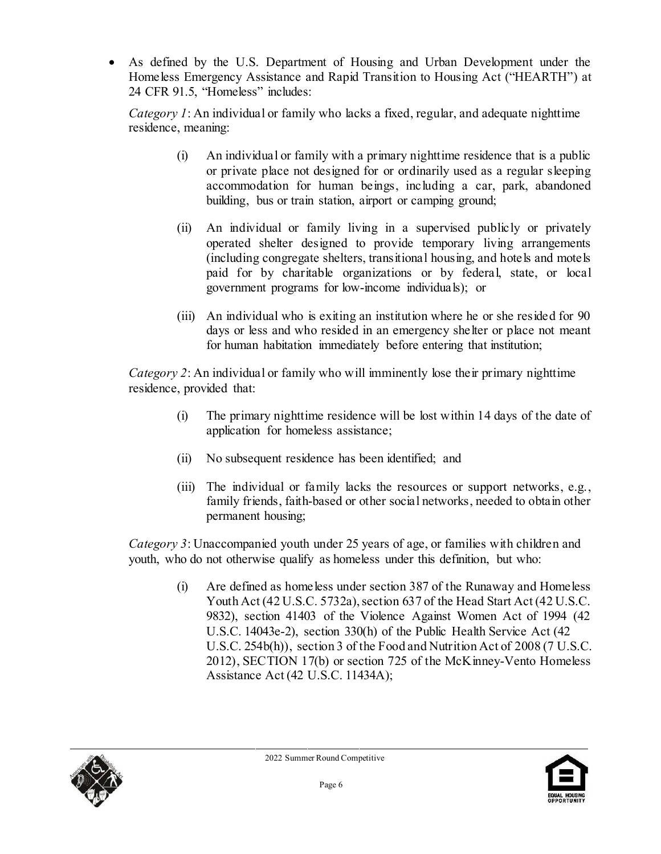• As defined by the U.S. Department of Housing and Urban Development under the Homeless Emergency Assistance and Rapid Transition to Housing Act ("HEARTH") at 24 CFR 91.5, "Homeless" includes:

*Category 1*: An individual or family who lacks a fixed, regular, and adequate nighttime residence, meaning:

- (i) An individual or family with a primary nighttime residence that is a public or private place not designed for or ordinarily used as a regular sleeping accommodation for human beings, including a car, park, abandoned building, bus or train station, airport or camping ground;
- (ii) An individual or family living in a supervised publicly or privately operated shelter designed to provide temporary living arrangements (including congregate shelters, transitional housing, and hotels and motels paid for by charitable organizations or by federal, state, or local government programs for low-income individuals); or
- (iii) An individual who is exiting an institution where he or she resided for 90 days or less and who resided in an emergency shelter or place not meant for human habitation immediately before entering that institution;

*Category 2*: An individual or family who will imminently lose their primary nighttime residence, provided that:

- (i) The primary nighttime residence will be lost within 14 days of the date of application for homeless assistance;
- (ii) No subsequent residence has been identified; and
- (iii) The individual or family lacks the resources or support networks, e.g., family friends, faith-based or other social networks, needed to obtain other permanent housing;

*Category 3*: Unaccompanied youth under 25 years of age, or families with children and youth, who do not otherwise qualify as homeless under this definition, but who:

> (i) Are defined as homeless under section 387 of the Runaway and Homeless Youth Act (42 U.S.C. 5732a), section 637 of the Head Start Act (42 U.S.C. 9832), section 41403 of the Violence Against Women Act of 1994 (42 U.S.C. 14043e-2), section 330(h) of the Public Health Service Act (42 U.S.C. 254b(h)), section 3 of the Food and Nutrition Act of 2008 (7 U.S.C. 2012), SECTION 17(b) or section 725 of the McKinney-Vento Homeless Assistance Act (42 U.S.C. 11434A);



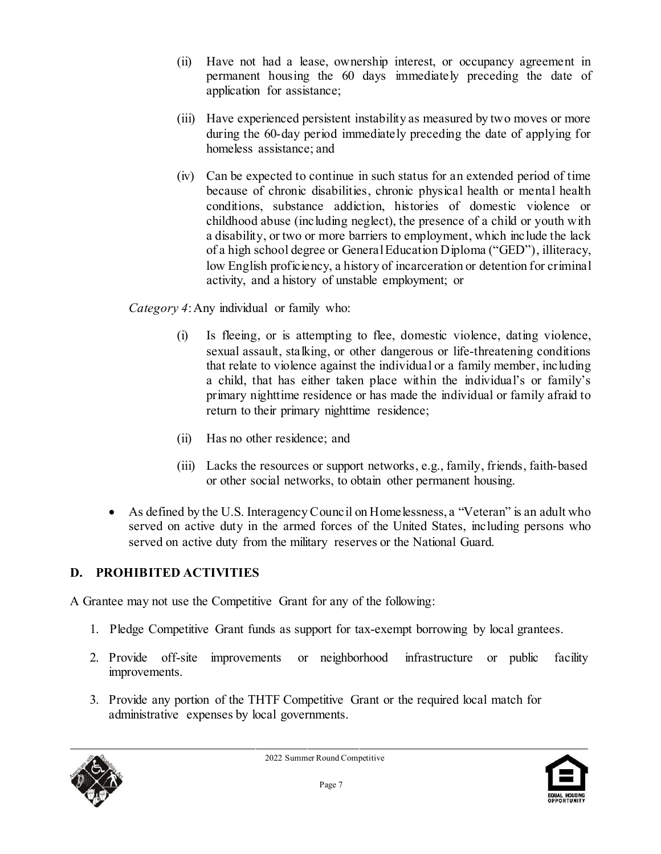- (ii) Have not had a lease, ownership interest, or occupancy agreement in permanent housing the 60 days immediately preceding the date of application for assistance;
- (iii) Have experienced persistent instability as measured by two moves or more during the 60-day period immediately preceding the date of applying for homeless assistance; and
- (iv) Can be expected to continue in such status for an extended period of time because of chronic disabilities, chronic physical health or mental health conditions, substance addiction, histories of domestic violence or childhood abuse (including neglect), the presence of a child or youth with a disability, or two or more barriers to employment, which include the lack of a high school degree or GeneralEducation Diploma ("GED"), illiteracy, low English proficiency, a history of incarceration or detention for criminal activity, and a history of unstable employment; or

*Category 4*: Any individual or family who:

- (i) Is fleeing, or is attempting to flee, domestic violence, dating violence, sexual assault, stalking, or other dangerous or life-threatening conditions that relate to violence against the individual or a family member, including a child, that has either taken place within the individual's or family's primary nighttime residence or has made the individual or family afraid to return to their primary nighttime residence;
- (ii) Has no other residence; and
- (iii) Lacks the resources or support networks, e.g., family, friends, faith-based or other social networks, to obtain other permanent housing.
- As defined by the U.S. Interagency Council on Home lessness, a "Veteran" is an adult who served on active duty in the armed forces of the United States, including persons who served on active duty from the military reserves or the National Guard.

## **D. PROHIBITED ACTIVITIES**

A Grantee may not use the Competitive Grant for any of the following:

- 1. Pledge Competitive Grant funds as support for tax-exempt borrowing by local grantees.
- 2. Provide off-site improvements or neighborhood infrastructure or public facility improvements.
- 3. Provide any portion of the THTF Competitive Grant or the required local match for administrative expenses by local governments.



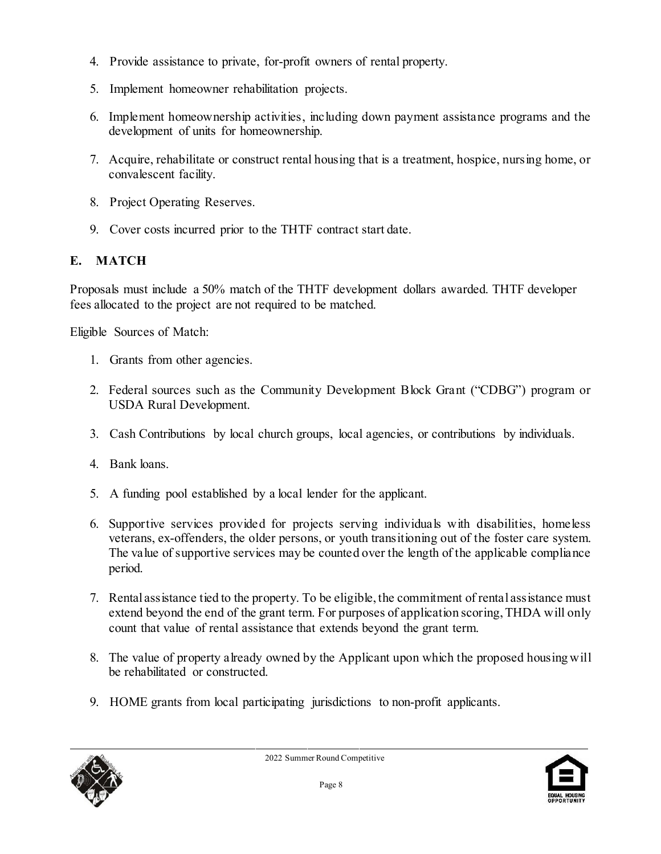- 4. Provide assistance to private, for-profit owners of rental property.
- 5. Implement homeowner rehabilitation projects.
- 6. Implement homeownership activities, including down payment assistance programs and the development of units for homeownership.
- 7. Acquire, rehabilitate or construct rental housing that is a treatment, hospice, nursing home, or convalescent facility.
- 8. Project Operating Reserves.
- 9. Cover costs incurred prior to the THTF contract start date.

# **E. MATCH**

Proposals must include a 50% match of the THTF development dollars awarded. THTF developer fees allocated to the project are not required to be matched.

Eligible Sources of Match:

- 1. Grants from other agencies.
- 2. Federal sources such as the Community Development Block Grant ("CDBG") program or USDA Rural Development.
- 3. Cash Contributions by local church groups, local agencies, or contributions by individuals.
- 4. Bank loans.
- 5. A funding pool established by a local lender for the applicant.
- 6. Supportive services provided for projects serving individuals with disabilities, homeless veterans, ex-offenders, the older persons, or youth transitioning out of the foster care system. The value of supportive services may be counted over the length of the applicable compliance period.
- 7. Rental assistance tied to the property. To be eligible, the commitment of rental assistance must extend beyond the end of the grant term. For purposes of application scoring, THDA will only count that value of rental assistance that extends beyond the grant term.
- 8. The value of property already owned by the Applicant upon which the proposed housing will be rehabilitated or constructed.
- 9. HOME grants from local participating jurisdictions to non-profit applicants.



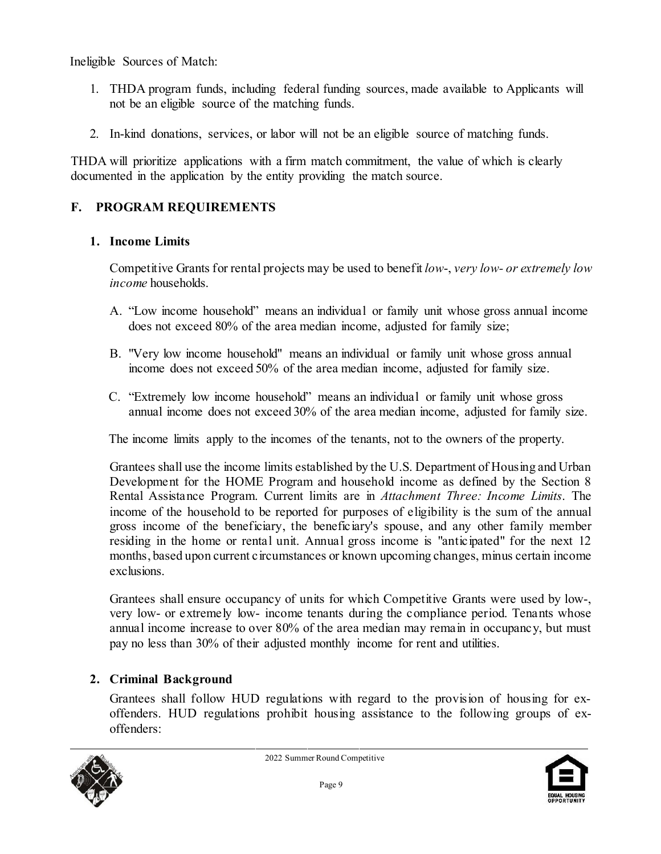Ineligible Sources of Match:

- 1. THDA program funds, including federal funding sources, made available to Applicants will not be an eligible source of the matching funds.
- 2. In-kind donations, services, or labor will not be an eligible source of matching funds.

THDA will prioritize applications with a firm match commitment, the value of which is clearly documented in the application by the entity providing the match source.

## **F. PROGRAM REQUIREMENTS**

## **1. Income Limits**

Competitive Grants for rental projects may be used to benefit *low*-, *very low- or extremely low income* households.

- A. "Low income household" means an individual or family unit whose gross annual income does not exceed 80% of the area median income, adjusted for family size;
- B. "Very low income household" means an individual or family unit whose gross annual income does not exceed 50% of the area median income, adjusted for family size.
- C. "Extremely low income household" means an individual or family unit whose gross annual income does not exceed 30% of the area median income, adjusted for family size.

The income limits apply to the incomes of the tenants, not to the owners of the property.

Grantees shall use the income limits established by the U.S. Department of Housing and Urban Development for the HOME Program and household income as defined by the Section 8 Rental Assistance Program. Current limits are in *Attachment Three: Income Limits*. The income of the household to be reported for purposes of eligibility is the sum of the annual gross income of the beneficiary, the beneficiary's spouse, and any other family member residing in the home or rental unit. Annual gross income is "anticipated" for the next 12 months, based upon current circumstances or known upcoming changes, minus certain income exclusions.

Grantees shall ensure occupancy of units for which Competitive Grants were used by low-, very low- or extremely low- income tenants during the compliance period. Tenants whose annual income increase to over 80% of the area median may remain in occupancy, but must pay no less than 30% of their adjusted monthly income for rent and utilities.

# **2. Criminal Background**

Grantees shall follow HUD regulations with regard to the provision of housing for exoffenders. HUD regulations prohibit housing assistance to the following groups of exoffenders:



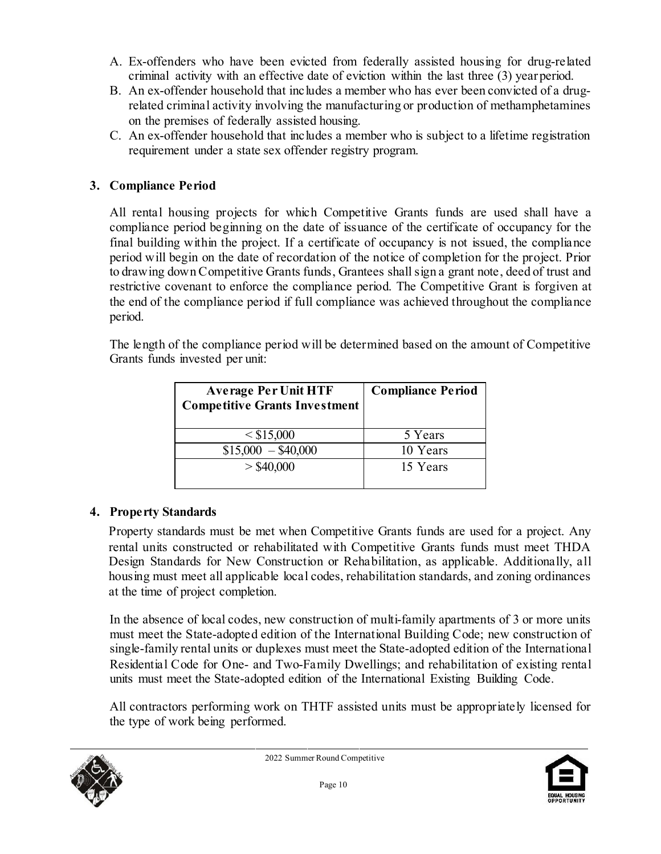- A. Ex-offenders who have been evicted from federally assisted housing for drug-related criminal activity with an effective date of eviction within the last three (3) yearperiod.
- B. An ex-offender household that includes a member who has ever been convicted of a drugrelated criminal activity involving the manufacturing or production of methamphetamines on the premises of federally assisted housing.
- C. An ex-offender household that includes a member who is subject to a lifetime registration requirement under a state sex offender registry program.

## **3. Compliance Period**

All rental housing projects for which Competitive Grants funds are used shall have a compliance period beginning on the date of issuance of the certificate of occupancy for the final building within the project. If a certificate of occupancy is not issued, the compliance period will begin on the date of recordation of the notice of completion for the project. Prior to drawing downCompetitive Grants funds, Grantees shallsign a grant note, deed of trust and restrictive covenant to enforce the compliance period. The Competitive Grant is forgiven at the end of the compliance period if full compliance was achieved throughout the compliance period.

The length of the compliance period will be determined based on the amount of Competitive Grants funds invested per unit:

| <b>Average Per Unit HTF</b><br><b>Competitive Grants Investment</b> | <b>Compliance Period</b> |
|---------------------------------------------------------------------|--------------------------|
| $<$ \$15,000                                                        | 5 Years                  |
| $$15,000 - $40,000$                                                 | 10 Years                 |
| $>$ \$40,000                                                        | 15 Years                 |

## **4. Property Standards**

Property standards must be met when Competitive Grants funds are used for a project. Any rental units constructed or rehabilitated with Competitive Grants funds must meet THDA Design Standards for New Construction or Rehabilitation, as applicable. Additionally, all housing must meet all applicable local codes, rehabilitation standards, and zoning ordinances at the time of project completion.

In the absence of local codes, new construction of multi-family apartments of 3 or more units must meet the State-adopted edition of the International Building Code; new construction of single-family rental units or duplexes must meet the State-adopted edition of the International Residential Code for One- and Two-Family Dwellings; and rehabilitation of existing rental units must meet the State-adopted edition of the International Existing Building Code.

All contractors performing work on THTF assisted units must be appropriately licensed for the type of work being performed.



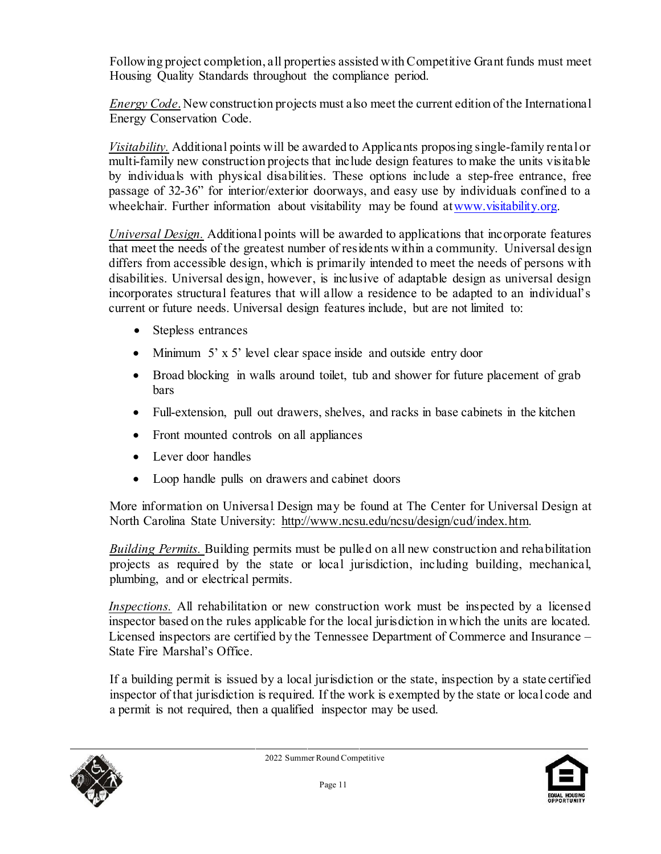Following project completion, all properties assisted with Competitive Grant funds must meet Housing Quality Standards throughout the compliance period.

*Energy Code*. New construction projects must also meet the current edition of the International Energy Conservation Code.

*Visitability.* Additional points will be awarded to Applicants proposing single-family rentalor multi-family new construction projects that include design features to make the units visitable by individuals with physical disabilities. These options include a step-free entrance, free passage of 32-36" for interior/exterior doorways, and easy use by individuals confined to a wheelchair. Further information about visitability may be found at www.visitability.org.

*Universal Design.* Additional points will be awarded to applications that incorporate features that meet the needs of the greatest number of residents within a community. Universal design differs from accessible design, which is primarily intended to meet the needs of persons with disabilities. Universal design, however, is inclusive of adaptable design as universal design incorporates structural features that will allow a residence to be adapted to an individual's current or future needs. Universal design features include, but are not limited to:

- Stepless entrances
- Minimum 5' x 5' level clear space inside and outside entry door
- Broad blocking in walls around toilet, tub and shower for future placement of grab bars
- Full-extension, pull out drawers, shelves, and racks in base cabinets in the kitchen
- Front mounted controls on all appliances
- Lever door handles
- Loop handle pulls on drawers and cabinet doors

More information on Universal Design may be found at The Center for Universal Design at North Carolina State University: [http://www.ncsu.edu/ncsu/design/cud/index.htm.](http://www.ncsu.edu/ncsu/design/cud/index.htm)

*Building Permits.* Building permits must be pulled on all new construction and rehabilitation projects as required by the state or local jurisdiction, including building, mechanical, plumbing, and or electrical permits.

*Inspections.* All rehabilitation or new construction work must be inspected by a licensed inspector based on the rules applicable for the local jurisdiction in which the units are located. Licensed inspectors are certified by the Tennessee Department of Commerce and Insurance – State Fire Marshal's Office.

If a building permit is issued by a local jurisdiction or the state, inspection by a state certified inspector of that jurisdiction is required. If the work is exempted by the state or local code and a permit is not required, then a qualified inspector may be used.



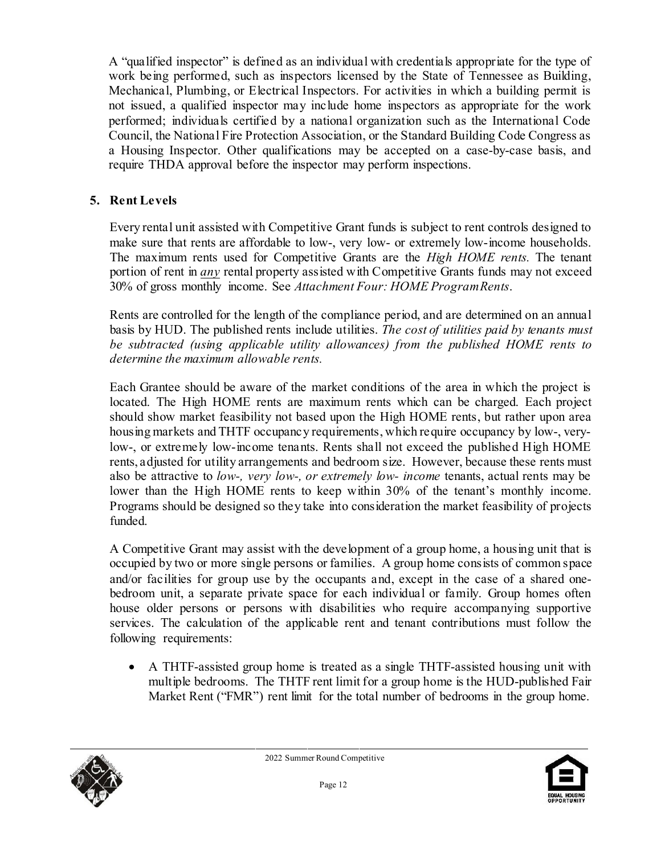A "qualified inspector" is defined as an individual with credentials appropriate for the type of work being performed, such as inspectors licensed by the State of Tennessee as Building, Mechanical, Plumbing, or Electrical Inspectors. For activities in which a building permit is not issued, a qualified inspector may include home inspectors as appropriate for the work performed; individuals certified by a national organization such as the International Code Council, the National Fire Protection Association, or the Standard Building Code Congress as a Housing Inspector. Other qualifications may be accepted on a case-by-case basis, and require THDA approval before the inspector may perform inspections.

## **5. Rent Levels**

Every rental unit assisted with Competitive Grant funds is subject to rent controls designed to make sure that rents are affordable to low-, very low- or extremely low-income households. The maximum rents used for Competitive Grants are the *High HOME rents.* The tenant portion of rent in *any* rental property assisted with Competitive Grants funds may not exceed 30% of gross monthly income. See *Attachment Four: HOME ProgramRents*.

Rents are controlled for the length of the compliance period, and are determined on an annual basis by HUD. The published rents include utilities. *The cost of utilities paid by tenants must be subtracted (using applicable utility allowances) from the published HOME rents to determine the maximum allowable rents.*

Each Grantee should be aware of the market conditions of the area in which the project is located. The High HOME rents are maximum rents which can be charged. Each project should show market feasibility not based upon the High HOME rents, but rather upon area housing markets and THTF occupancy requirements, which require occupancy by low-, verylow-, or extremely low-income tenants. Rents shall not exceed the published High HOME rents, adjusted for utility arrangements and bedroom size. However, because these rents must also be attractive to *low-, very low-, or extremely low- income* tenants, actual rents may be lower than the High HOME rents to keep within 30% of the tenant's monthly income. Programs should be designed so they take into consideration the market feasibility of projects funded.

A Competitive Grant may assist with the development of a group home, a housing unit that is occupied by two or more single persons or families. A group home consists of common space and/or facilities for group use by the occupants and, except in the case of a shared onebedroom unit, a separate private space for each individual or family. Group homes often house older persons or persons with disabilities who require accompanying supportive services. The calculation of the applicable rent and tenant contributions must follow the following requirements:

• A THTF-assisted group home is treated as a single THTF-assisted housing unit with multiple bedrooms. The THTF rent limit for a group home is the HUD-published Fair Market Rent ("FMR") rent limit for the total number of bedrooms in the group home.



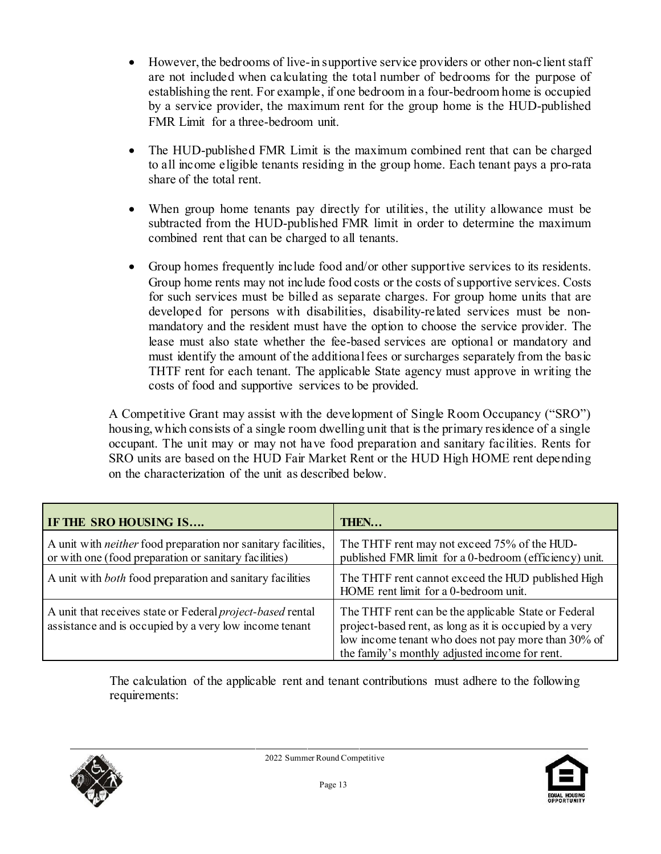- However, the bedrooms of live-in supportive service providers or other non-client staff are not included when calculating the total number of bedrooms for the purpose of establishing the rent. For example, if one bedroom in a four-bedroomhome is occupied by a service provider, the maximum rent for the group home is the HUD-published FMR Limit for a three-bedroom unit.
- The HUD-published FMR Limit is the maximum combined rent that can be charged to all income eligible tenants residing in the group home. Each tenant pays a pro-rata share of the total rent.
- When group home tenants pay directly for utilities, the utility allowance must be subtracted from the HUD-published FMR limit in order to determine the maximum combined rent that can be charged to all tenants.
- Group homes frequently include food and/or other supportive services to its residents. Group home rents may not include food costs or the costs of supportive services. Costs for such services must be billed as separate charges. For group home units that are developed for persons with disabilities, disability-related services must be nonmandatory and the resident must have the option to choose the service provider. The lease must also state whether the fee-based services are optional or mandatory and must identify the amount of the additionalfees or surcharges separately from the basic THTF rent for each tenant. The applicable State agency must approve in writing the costs of food and supportive services to be provided.

A Competitive Grant may assist with the development of Single Room Occupancy ("SRO") housing, which consists of a single room dwelling unit that is the primary residence of a single occupant. The unit may or may not have food preparation and sanitary facilities. Rents for SRO units are based on the HUD Fair Market Rent or the HUD High HOME rent depending on the characterization of the unit as described below.

| IF THE SRO HOUSING IS                                                                                                         | THEN                                                                                                                                                                                                                     |
|-------------------------------------------------------------------------------------------------------------------------------|--------------------------------------------------------------------------------------------------------------------------------------------------------------------------------------------------------------------------|
| A unit with <i>neither</i> food preparation nor sanitary facilities,<br>or with one (food preparation or sanitary facilities) | The THTF rent may not exceed 75% of the HUD-<br>published FMR limit for a 0-bedroom (efficiency) unit.                                                                                                                   |
| A unit with <i>both</i> food preparation and sanitary facilities                                                              | The THTF rent cannot exceed the HUD published High<br>HOME rent limit for a 0-bedroom unit.                                                                                                                              |
| A unit that receives state or Federal <i>project-based</i> rental<br>assistance and is occupied by a very low income tenant   | The THTF rent can be the applicable State or Federal<br>project-based rent, as long as it is occupied by a very<br>low income tenant who does not pay more than 30% of<br>the family's monthly adjusted income for rent. |

The calculation of the applicable rent and tenant contributions must adhere to the following requirements:



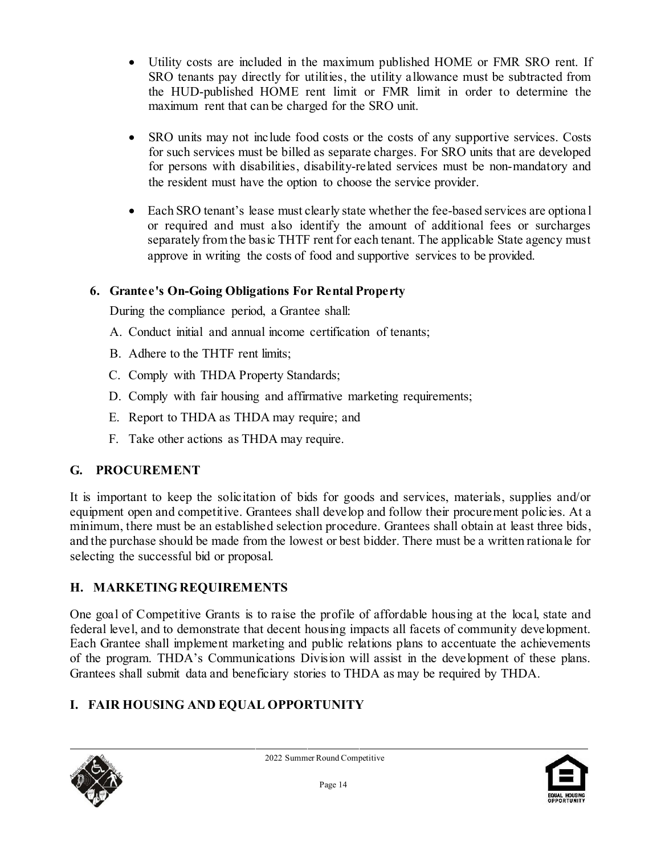- Utility costs are included in the maximum published HOME or FMR SRO rent. If SRO tenants pay directly for utilities, the utility allowance must be subtracted from the HUD-published HOME rent limit or FMR limit in order to determine the maximum rent that can be charged for the SRO unit.
- SRO units may not include food costs or the costs of any supportive services. Costs for such services must be billed as separate charges. For SRO units that are developed for persons with disabilities, disability-related services must be non-mandatory and the resident must have the option to choose the service provider.
- Each SRO tenant's lease must clearly state whether the fee-based services are optional or required and must also identify the amount of additional fees or surcharges separately from the basic THTF rent for each tenant. The applicable State agency must approve in writing the costs of food and supportive services to be provided.

## **6. Grantee's On-Going Obligations For Rental Property**

During the compliance period, a Grantee shall:

- A. Conduct initial and annual income certification of tenants;
- B. Adhere to the THTF rent limits;
- C. Comply with THDA Property Standards;
- D. Comply with fair housing and affirmative marketing requirements;
- E. Report to THDA as THDA may require; and
- F. Take other actions as THDA may require.

## **G. PROCUREMENT**

It is important to keep the solicitation of bids for goods and services, materials, supplies and/or equipment open and competitive. Grantees shall develop and follow their procurement policies. At a minimum, there must be an established selection procedure. Grantees shall obtain at least three bids, and the purchase should be made from the lowest or best bidder. There must be a written rationale for selecting the successful bid or proposal.

## **H. MARKETING REQUIREMENTS**

One goal of Competitive Grants is to raise the profile of affordable housing at the local, state and federal level, and to demonstrate that decent housing impacts all facets of community development. Each Grantee shall implement marketing and public relations plans to accentuate the achievements of the program. THDA's Communications Division will assist in the development of these plans. Grantees shall submit data and beneficiary stories to THDA as may be required by THDA.

# **I. FAIR HOUSING AND EQUAL OPPORTUNITY**



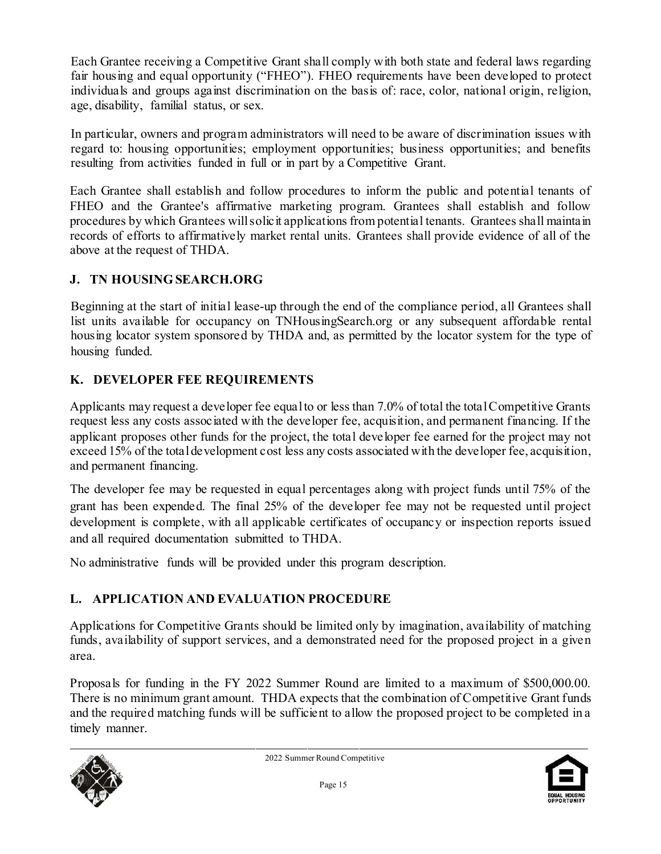Each Grantee receiving a Competitive Grant shall comply with both state and federal laws regarding fair housing and equal opportunity ("FHEO"). FHEO requirements have been developed to protect individuals and groups against discrimination on the basis of: race, color, national origin, religion, age, disability, familial status, or sex.

In particular, owners and program administrators will need to be aware of discrimination issues with regard to: housing opportunities; employment opportunities; business opportunities; and benefits resulting from activities funded in full or in part by a Competitive Grant.

Each Grantee shall establish and follow procedures to inform the public and potential tenants of FHEO and the Grantee's affirmative marketing program. Grantees shall establish and follow procedures by which Grantees willsolicit applications from potential tenants. Grantees shall maintain records of efforts to affirmatively market rental units. Grantees shall provide evidence of all of the above at the request of THDA.

# **J. TN HOUSING SEARCH.ORG**

Beginning at the start of initial lease-up through the end of the compliance period, all Grantees shall list units available for occupancy on TNHousingSearch.org or any subsequent affordable rental housing locator system sponsored by THDA and, as permitted by the locator system for the type of housing funded.

# **K. DEVELOPER FEE REQUIREMENTS**

Applicants may request a developer fee equalto or less than 7.0% of total the totalCompetitive Grants request less any costs associated with the developer fee, acquisition, and permanent financing. If the applicant proposes other funds for the project, the total developer fee earned for the project may not exceed 15% of the totaldevelopment cost less any costs associated with the developer fee, acquisition, and permanent financing.

The developer fee may be requested in equal percentages along with project funds until 75% of the grant has been expended. The final 25% of the developer fee may not be requested until project development is complete, with all applicable certificates of occupancy or inspection reports issued and all required documentation submitted to THDA.

No administrative funds will be provided under this program description.

# **L. APPLICATION AND EVALUATION PROCEDURE**

Applications for Competitive Grants should be limited only by imagination, availability of matching funds, availability of support services, and a demonstrated need for the proposed project in a given area.

Proposals for funding in the FY 2022 Summer Round are limited to a maximum of \$500,000.00. There is no minimum grant amount. THDA expects that the combination of Competitive Grant funds and the required matching funds will be sufficient to allow the proposed project to be completed in a timely manner.



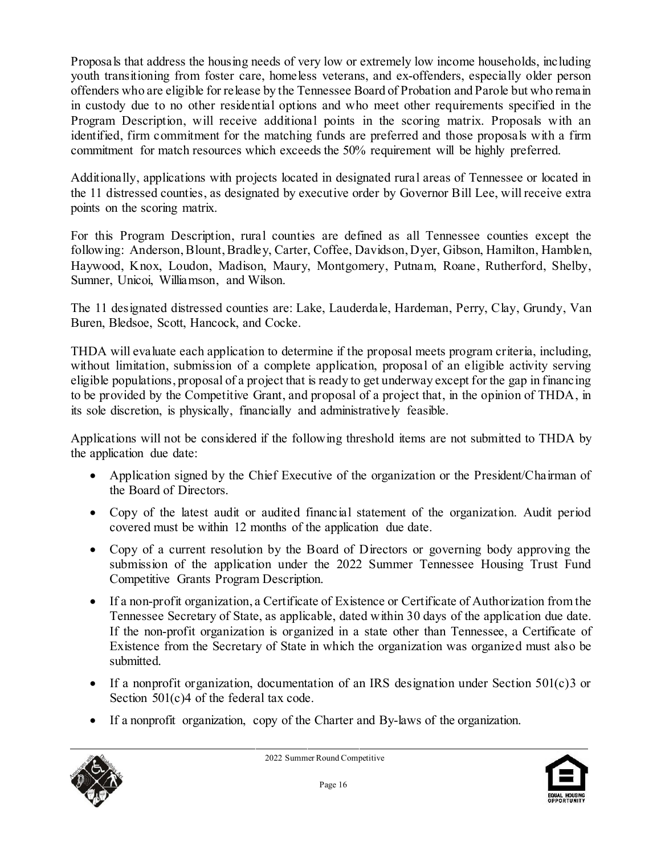Proposals that address the housing needs of very low or extremely low income households, including youth transitioning from foster care, homeless veterans, and ex-offenders, especially older person offenders who are eligible for release by the Tennessee Board of Probation and Parole but who remain in custody due to no other residential options and who meet other requirements specified in the Program Description, will receive additional points in the scoring matrix. Proposals with an identified, firm commitment for the matching funds are preferred and those proposals with a firm commitment for match resources which exceeds the 50% requirement will be highly preferred.

Additionally, applications with projects located in designated rural areas of Tennessee or located in the 11 distressed counties, as designated by executive order by Governor Bill Lee, will receive extra points on the scoring matrix.

For this Program Description, rural counties are defined as all Tennessee counties except the following: Anderson, Blount, Bradley, Carter, Coffee, Davidson, Dyer, Gibson, Hamilton, Hamblen, Haywood, Knox, Loudon, Madison, Maury, Montgomery, Putnam, Roane, Rutherford, Shelby, Sumner, Unicoi, Williamson, and Wilson.

The 11 designated distressed counties are: Lake, Lauderdale, Hardeman, Perry, Clay, Grundy, Van Buren, Bledsoe, Scott, Hancock, and Cocke.

THDA will evaluate each application to determine if the proposal meets program criteria, including, without limitation, submission of a complete application, proposal of an eligible activity serving eligible populations, proposal of a project that is ready to get underway except for the gap in financing to be provided by the Competitive Grant, and proposal of a project that, in the opinion of THDA, in its sole discretion, is physically, financially and administratively feasible.

Applications will not be considered if the following threshold items are not submitted to THDA by the application due date:

- Application signed by the Chief Executive of the organization or the President/Chairman of the Board of Directors.
- Copy of the latest audit or audited financial statement of the organization. Audit period covered must be within 12 months of the application due date.
- Copy of a current resolution by the Board of Directors or governing body approving the submission of the application under the 2022 Summer Tennessee Housing Trust Fund Competitive Grants Program Description.
- If a non-profit organization, a Certificate of Existence or Certificate of Authorization from the Tennessee Secretary of State, as applicable, dated within 30 days of the application due date. If the non-profit organization is organized in a state other than Tennessee, a Certificate of Existence from the Secretary of State in which the organization was organized must also be submitted.
- If a nonprofit organization, documentation of an IRS designation under Section 501(c) 3 or Section 501(c)4 of the federal tax code.
- If a nonprofit organization, copy of the Charter and By-laws of the organization.



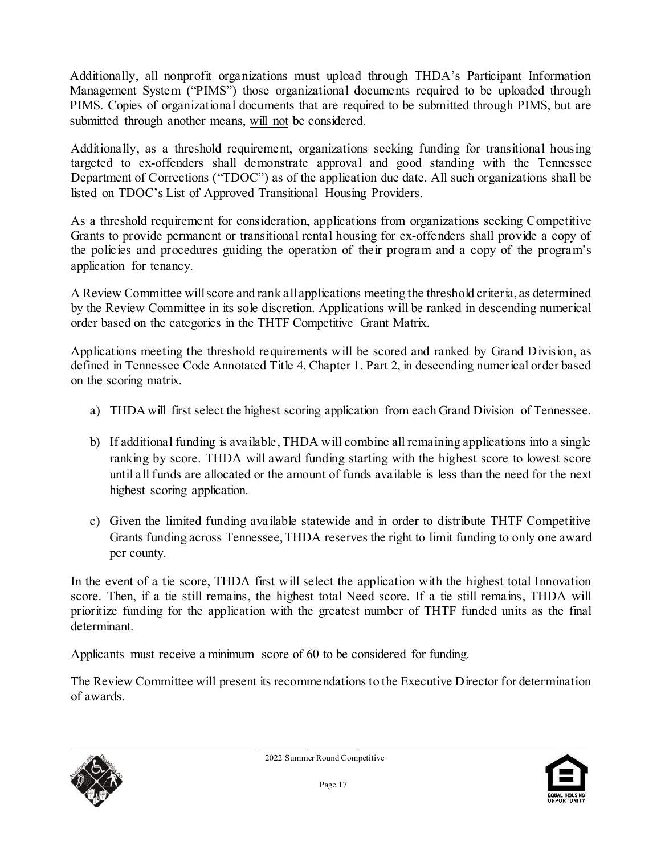Additionally, all nonprofit organizations must upload through THDA's Participant Information Management System ("PIMS") those organizational documents required to be uploaded through PIMS. Copies of organizational documents that are required to be submitted through PIMS, but are submitted through another means, will not be considered.

Additionally, as a threshold requirement, organizations seeking funding for transitional housing targeted to ex-offenders shall demonstrate approval and good standing with the Tennessee Department of Corrections ("TDOC") as of the application due date. All such organizations shall be listed on TDOC's List of Approved Transitional Housing Providers.

As a threshold requirement for consideration, applications from organizations seeking Competitive Grants to provide permanent or transitional rental housing for ex-offenders shall provide a copy of the policies and procedures guiding the operation of their program and a copy of the program's application for tenancy.

A Review Committee willscore and rank all applications meeting the threshold criteria, as determined by the Review Committee in its sole discretion. Applications will be ranked in descending numerical order based on the categories in the THTF Competitive Grant Matrix.

Applications meeting the threshold requirements will be scored and ranked by Grand Division, as defined in Tennessee Code Annotated Title 4, Chapter 1, Part 2, in descending numerical order based on the scoring matrix.

- a) THDA will first select the highest scoring application from each Grand Division of Tennessee.
- b) If additional funding is available,THDA will combine all remaining applications into a single ranking by score. THDA will award funding starting with the highest score to lowest score until all funds are allocated or the amount of funds available is less than the need for the next highest scoring application.
- c) Given the limited funding available statewide and in order to distribute THTF Competitive Grants funding across Tennessee,THDA reserves the right to limit funding to only one award per county.

In the event of a tie score, THDA first will select the application with the highest total Innovation score. Then, if a tie still remains, the highest total Need score. If a tie still remains, THDA will prioritize funding for the application with the greatest number of THTF funded units as the final determinant.

Applicants must receive a minimum score of 60 to be considered for funding.

The Review Committee will present its recommendations to the Executive Director for determination of awards.



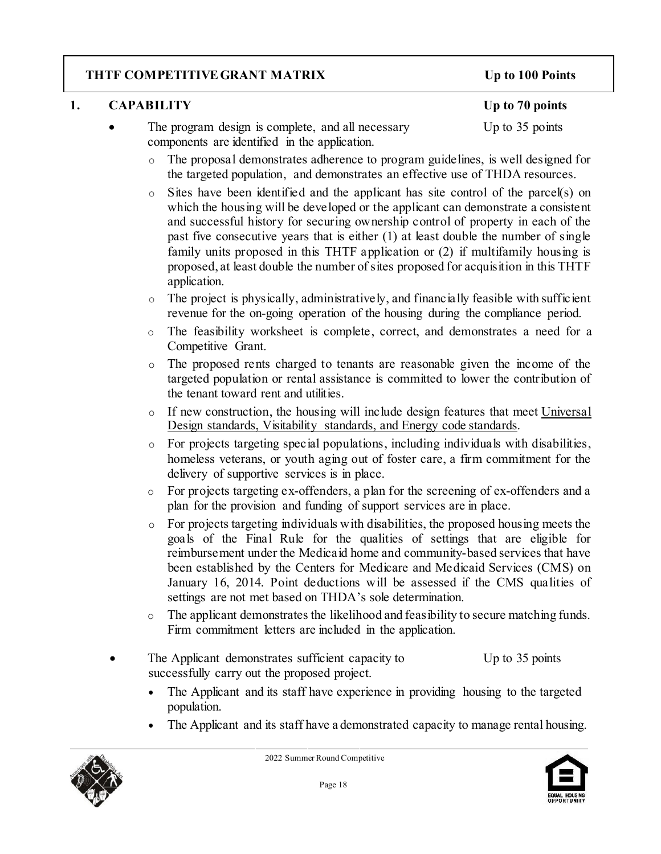## **THTF COMPETITIVEGRANT MATRIX Up to 100 Points**

#### **1. CAPABILITY Up to 70 points**

- The program design is complete, and all necessary Up to 35 points components are identified in the application.
	- o The proposal demonstrates adherence to program guidelines, is well designed for the targeted population, and demonstrates an effective use of THDA resources.
	- Sites have been identified and the applicant has site control of the parcel(s) on which the housing will be developed or the applicant can demonstrate a consistent and successful history for securing ownership control of property in each of the past five consecutive years that is either (1) at least double the number of single family units proposed in this THTF application or (2) if multifamily housing is proposed, at least double the number of sites proposed for acquisition in this THTF application.
	- o The project is physically, administratively, and financially feasible with sufficient revenue for the on-going operation of the housing during the compliance period.
	- o The feasibility worksheet is complete, correct, and demonstrates a need for a Competitive Grant.
	- o The proposed rents charged to tenants are reasonable given the income of the targeted population or rental assistance is committed to lower the contribution of the tenant toward rent and utilities.
	- o If new construction, the housing will include design features that meet Universal Design standards, Visitability standards, and Energy code standards.
	- o For projects targeting special populations, including individuals with disabilities, homeless veterans, or youth aging out of foster care, a firm commitment for the delivery of supportive services is in place.
	- o For projects targeting ex-offenders, a plan for the screening of ex-offenders and a plan for the provision and funding of support services are in place.
	- o For projects targeting individuals with disabilities, the proposed housing meets the goals of the Final Rule for the qualities of settings that are eligible for reimbursement under the Medicaid home and community-based services that have been established by the Centers for Medicare and Medicaid Services (CMS) on January 16, 2014. Point deductions will be assessed if the CMS qualities of settings are not met based on THDA's sole determination.
	- o The applicant demonstrates the likelihood and feasibility to secure matching funds. Firm commitment letters are included in the application.
- The Applicant demonstrates sufficient capacity to Up to 35 points successfully carry out the proposed project.
	- The Applicant and its staff have experience in providing housing to the targeted population.
	- The Applicant and its staff have a demonstrated capacity to manage rental housing.



Page 18

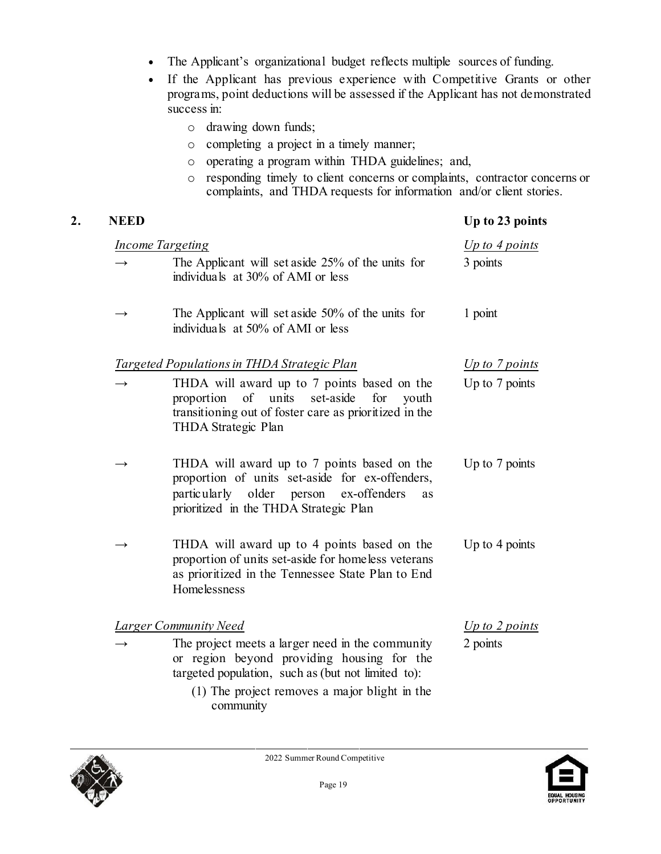- The Applicant's organizational budget reflects multiple sources of funding.
- If the Applicant has previous experience with Competitive Grants or other programs, point deductions will be assessed if the Applicant has not demonstrated success in:
	- o drawing down funds;
	- o completing a project in a timely manner;
	- o operating a program within THDA guidelines; and,
	- o responding timely to client concerns or complaints, contractor concerns or complaints, and THDA requests for information and/or client stories.

| 2. | <b>NEED</b>   |                                                                                                                                                                                                                                       | Up to 23 points                  |
|----|---------------|---------------------------------------------------------------------------------------------------------------------------------------------------------------------------------------------------------------------------------------|----------------------------------|
|    | $\rightarrow$ | <b>Income Targeting</b><br>The Applicant will set aside 25% of the units for<br>individuals at 30% of AMI or less                                                                                                                     | Up to 4 points<br>3 points       |
|    | $\rightarrow$ | The Applicant will set aside 50% of the units for<br>individuals at 50% of AMI or less                                                                                                                                                | 1 point                          |
|    | $\rightarrow$ | Targeted Populations in THDA Strategic Plan<br>THDA will award up to 7 points based on the<br>set-aside<br>proportion<br>of<br>units<br>for<br>youth<br>transitioning out of foster care as prioritized in the<br>THDA Strategic Plan | Up to 7 points<br>Up to 7 points |
|    | $\rightarrow$ | THDA will award up to 7 points based on the<br>proportion of units set-aside for ex-offenders,<br>particularly older<br>ex-offenders<br>person<br>as<br>prioritized in the THDA Strategic Plan                                        | Up to 7 points                   |
|    |               | THDA will award up to 4 points based on the<br>proportion of units set-aside for homeless veterans<br>as prioritized in the Tennessee State Plan to End<br>Homelessness                                                               | Up to $4$ points                 |
|    | $\rightarrow$ | <b>Larger Community Need</b><br>The project meets a larger need in the community<br>or region beyond providing housing for the<br>targeted population, such as (but not limited to):<br>(1) The project removes a major blight in the | Up to $2$ points<br>2 points     |

 $(1)$  The project removes a major blight in the community